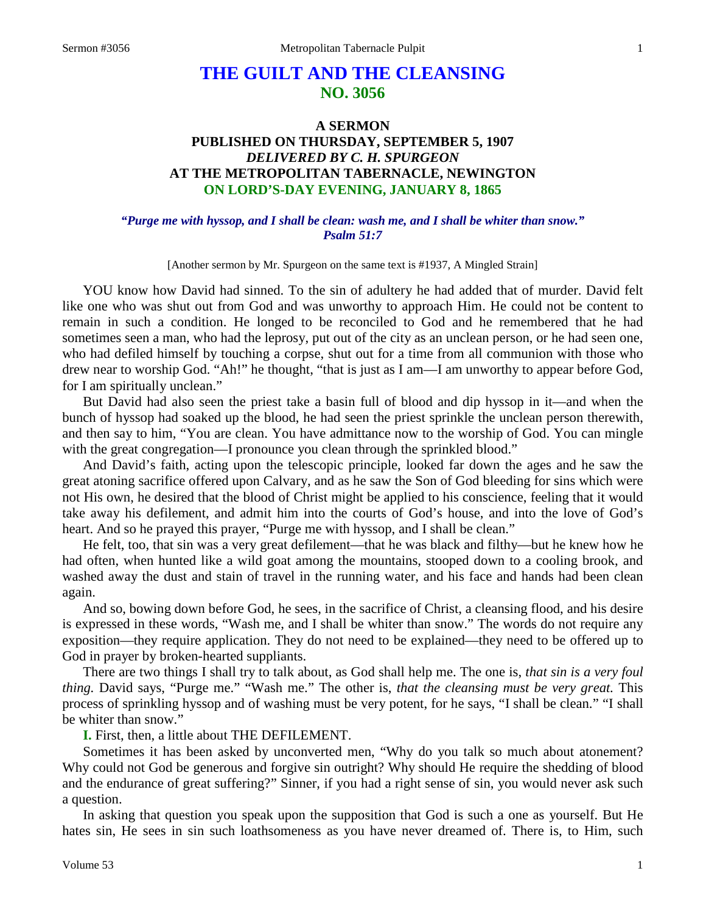# **THE GUILT AND THE CLEANSING NO. 3056**

# **A SERMON PUBLISHED ON THURSDAY, SEPTEMBER 5, 1907** *DELIVERED BY C. H. SPURGEON* **AT THE METROPOLITAN TABERNACLE, NEWINGTON ON LORD'S-DAY EVENING, JANUARY 8, 1865**

#### *"Purge me with hyssop, and I shall be clean: wash me, and I shall be whiter than snow." Psalm 51:7*

[Another sermon by Mr. Spurgeon on the same text is #1937, A Mingled Strain]

YOU know how David had sinned. To the sin of adultery he had added that of murder. David felt like one who was shut out from God and was unworthy to approach Him. He could not be content to remain in such a condition. He longed to be reconciled to God and he remembered that he had sometimes seen a man, who had the leprosy, put out of the city as an unclean person, or he had seen one, who had defiled himself by touching a corpse, shut out for a time from all communion with those who drew near to worship God. "Ah!" he thought, "that is just as I am—I am unworthy to appear before God, for I am spiritually unclean."

But David had also seen the priest take a basin full of blood and dip hyssop in it—and when the bunch of hyssop had soaked up the blood, he had seen the priest sprinkle the unclean person therewith, and then say to him, "You are clean. You have admittance now to the worship of God. You can mingle with the great congregation—I pronounce you clean through the sprinkled blood."

And David's faith, acting upon the telescopic principle, looked far down the ages and he saw the great atoning sacrifice offered upon Calvary, and as he saw the Son of God bleeding for sins which were not His own, he desired that the blood of Christ might be applied to his conscience, feeling that it would take away his defilement, and admit him into the courts of God's house, and into the love of God's heart. And so he prayed this prayer, "Purge me with hyssop, and I shall be clean."

He felt, too, that sin was a very great defilement—that he was black and filthy—but he knew how he had often, when hunted like a wild goat among the mountains, stooped down to a cooling brook, and washed away the dust and stain of travel in the running water, and his face and hands had been clean again.

And so, bowing down before God, he sees, in the sacrifice of Christ, a cleansing flood, and his desire is expressed in these words, "Wash me, and I shall be whiter than snow." The words do not require any exposition—they require application. They do not need to be explained—they need to be offered up to God in prayer by broken-hearted suppliants.

There are two things I shall try to talk about, as God shall help me. The one is, *that sin is a very foul thing.* David says, "Purge me." "Wash me." The other is, *that the cleansing must be very great.* This process of sprinkling hyssop and of washing must be very potent, for he says, "I shall be clean." "I shall be whiter than snow."

**I.** First, then, a little about THE DEFILEMENT.

Sometimes it has been asked by unconverted men, "Why do you talk so much about atonement? Why could not God be generous and forgive sin outright? Why should He require the shedding of blood and the endurance of great suffering?" Sinner, if you had a right sense of sin, you would never ask such a question.

In asking that question you speak upon the supposition that God is such a one as yourself. But He hates sin, He sees in sin such loathsomeness as you have never dreamed of. There is, to Him, such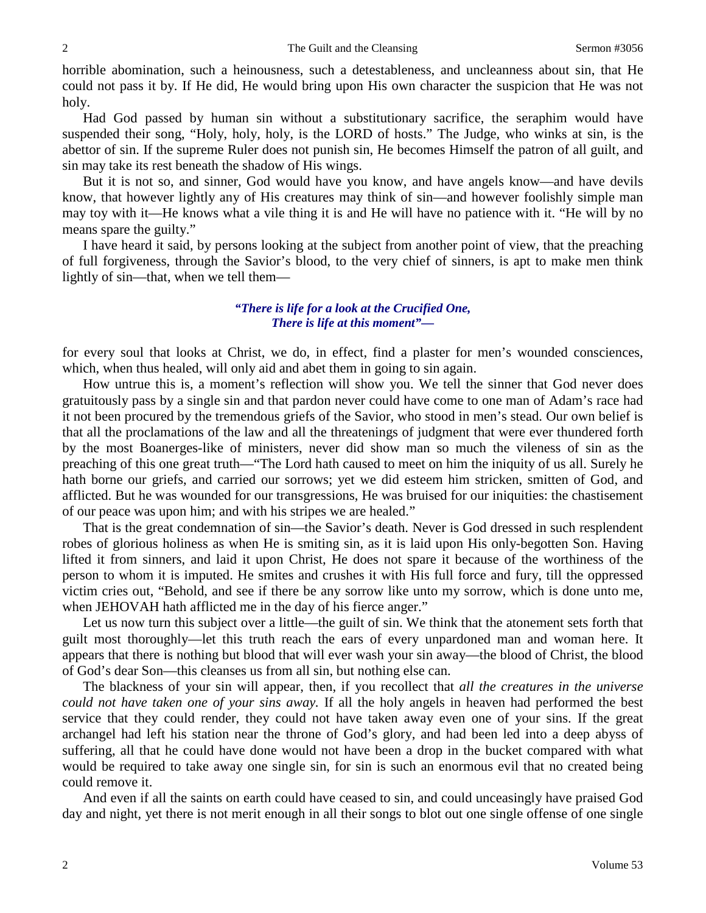horrible abomination, such a heinousness, such a detestableness, and uncleanness about sin, that He could not pass it by. If He did, He would bring upon His own character the suspicion that He was not holy.

Had God passed by human sin without a substitutionary sacrifice, the seraphim would have suspended their song, "Holy, holy, holy, is the LORD of hosts." The Judge, who winks at sin, is the abettor of sin. If the supreme Ruler does not punish sin, He becomes Himself the patron of all guilt, and sin may take its rest beneath the shadow of His wings.

But it is not so, and sinner, God would have you know, and have angels know—and have devils know, that however lightly any of His creatures may think of sin—and however foolishly simple man may toy with it—He knows what a vile thing it is and He will have no patience with it. "He will by no means spare the guilty."

I have heard it said, by persons looking at the subject from another point of view, that the preaching of full forgiveness, through the Savior's blood, to the very chief of sinners, is apt to make men think lightly of sin—that, when we tell them—

#### *"There is life for a look at the Crucified One, There is life at this moment"—*

for every soul that looks at Christ, we do, in effect, find a plaster for men's wounded consciences, which, when thus healed, will only aid and abet them in going to sin again.

How untrue this is, a moment's reflection will show you. We tell the sinner that God never does gratuitously pass by a single sin and that pardon never could have come to one man of Adam's race had it not been procured by the tremendous griefs of the Savior, who stood in men's stead. Our own belief is that all the proclamations of the law and all the threatenings of judgment that were ever thundered forth by the most Boanerges-like of ministers, never did show man so much the vileness of sin as the preaching of this one great truth—"The Lord hath caused to meet on him the iniquity of us all. Surely he hath borne our griefs, and carried our sorrows; yet we did esteem him stricken, smitten of God, and afflicted. But he was wounded for our transgressions, He was bruised for our iniquities: the chastisement of our peace was upon him; and with his stripes we are healed."

That is the great condemnation of sin—the Savior's death. Never is God dressed in such resplendent robes of glorious holiness as when He is smiting sin, as it is laid upon His only-begotten Son. Having lifted it from sinners, and laid it upon Christ, He does not spare it because of the worthiness of the person to whom it is imputed. He smites and crushes it with His full force and fury, till the oppressed victim cries out, "Behold, and see if there be any sorrow like unto my sorrow, which is done unto me, when JEHOVAH hath afflicted me in the day of his fierce anger."

Let us now turn this subject over a little—the guilt of sin. We think that the atonement sets forth that guilt most thoroughly—let this truth reach the ears of every unpardoned man and woman here. It appears that there is nothing but blood that will ever wash your sin away—the blood of Christ, the blood of God's dear Son—this cleanses us from all sin, but nothing else can.

The blackness of your sin will appear, then, if you recollect that *all the creatures in the universe could not have taken one of your sins away.* If all the holy angels in heaven had performed the best service that they could render, they could not have taken away even one of your sins. If the great archangel had left his station near the throne of God's glory, and had been led into a deep abyss of suffering, all that he could have done would not have been a drop in the bucket compared with what would be required to take away one single sin, for sin is such an enormous evil that no created being could remove it.

And even if all the saints on earth could have ceased to sin, and could unceasingly have praised God day and night, yet there is not merit enough in all their songs to blot out one single offense of one single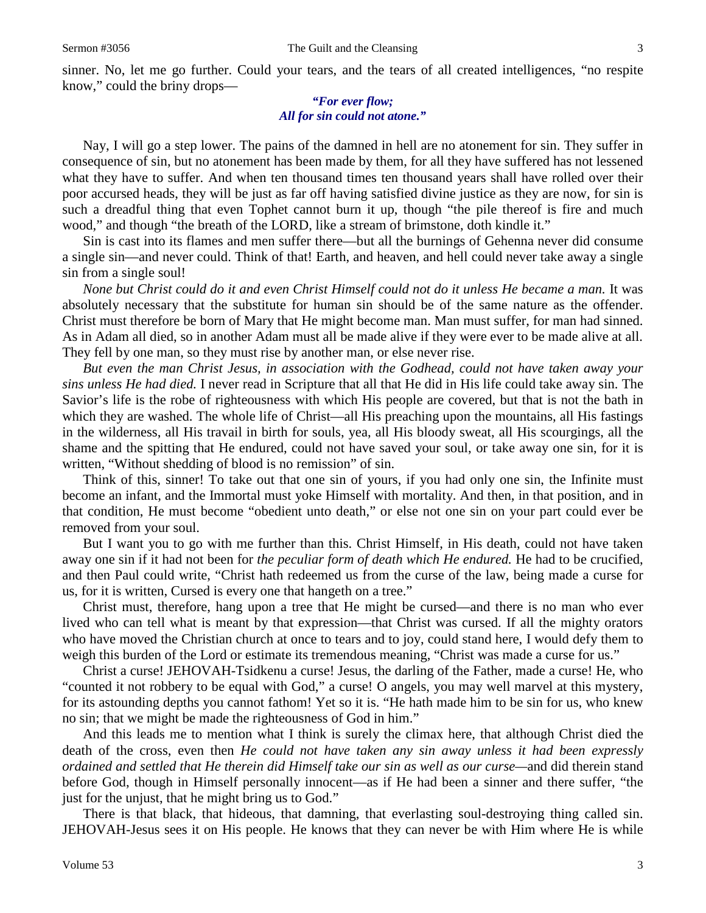#### *"For ever flow; All for sin could not atone."*

Nay, I will go a step lower. The pains of the damned in hell are no atonement for sin. They suffer in consequence of sin, but no atonement has been made by them, for all they have suffered has not lessened what they have to suffer. And when ten thousand times ten thousand years shall have rolled over their poor accursed heads, they will be just as far off having satisfied divine justice as they are now, for sin is such a dreadful thing that even Tophet cannot burn it up, though "the pile thereof is fire and much wood," and though "the breath of the LORD, like a stream of brimstone, doth kindle it."

Sin is cast into its flames and men suffer there—but all the burnings of Gehenna never did consume a single sin—and never could. Think of that! Earth, and heaven, and hell could never take away a single sin from a single soul!

*None but Christ could do it and even Christ Himself could not do it unless He became a man.* It was absolutely necessary that the substitute for human sin should be of the same nature as the offender. Christ must therefore be born of Mary that He might become man. Man must suffer, for man had sinned. As in Adam all died, so in another Adam must all be made alive if they were ever to be made alive at all. They fell by one man, so they must rise by another man, or else never rise.

*But even the man Christ Jesus, in association with the Godhead, could not have taken away your sins unless He had died.* I never read in Scripture that all that He did in His life could take away sin. The Savior's life is the robe of righteousness with which His people are covered, but that is not the bath in which they are washed. The whole life of Christ—all His preaching upon the mountains, all His fastings in the wilderness, all His travail in birth for souls, yea, all His bloody sweat, all His scourgings, all the shame and the spitting that He endured, could not have saved your soul, or take away one sin, for it is written, "Without shedding of blood is no remission" of sin.

Think of this, sinner! To take out that one sin of yours, if you had only one sin, the Infinite must become an infant, and the Immortal must yoke Himself with mortality. And then, in that position, and in that condition, He must become "obedient unto death," or else not one sin on your part could ever be removed from your soul.

But I want you to go with me further than this. Christ Himself, in His death, could not have taken away one sin if it had not been for *the peculiar form of death which He endured.* He had to be crucified, and then Paul could write, "Christ hath redeemed us from the curse of the law, being made a curse for us, for it is written, Cursed is every one that hangeth on a tree."

Christ must, therefore, hang upon a tree that He might be cursed—and there is no man who ever lived who can tell what is meant by that expression—that Christ was cursed. If all the mighty orators who have moved the Christian church at once to tears and to joy, could stand here, I would defy them to weigh this burden of the Lord or estimate its tremendous meaning, "Christ was made a curse for us."

Christ a curse! JEHOVAH-Tsidkenu a curse! Jesus, the darling of the Father, made a curse! He, who "counted it not robbery to be equal with God," a curse! O angels, you may well marvel at this mystery, for its astounding depths you cannot fathom! Yet so it is. "He hath made him to be sin for us, who knew no sin; that we might be made the righteousness of God in him."

And this leads me to mention what I think is surely the climax here, that although Christ died the death of the cross, even then *He could not have taken any sin away unless it had been expressly ordained and settled that He therein did Himself take our sin as well as our curse—*and did therein stand before God, though in Himself personally innocent—as if He had been a sinner and there suffer, "the just for the unjust, that he might bring us to God."

There is that black, that hideous, that damning, that everlasting soul-destroying thing called sin. JEHOVAH-Jesus sees it on His people. He knows that they can never be with Him where He is while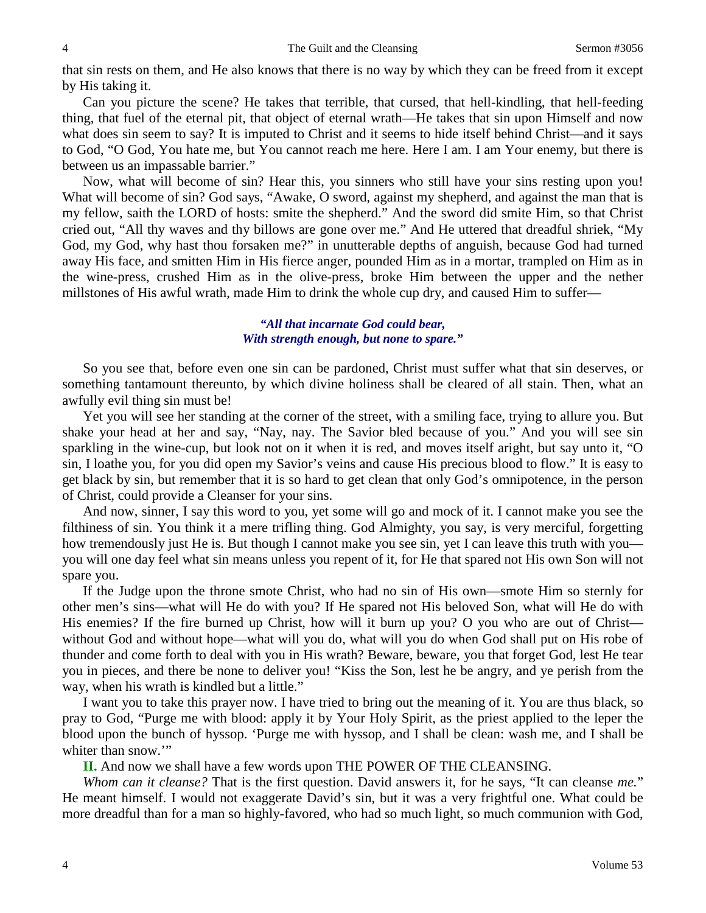that sin rests on them, and He also knows that there is no way by which they can be freed from it except by His taking it.

Can you picture the scene? He takes that terrible, that cursed, that hell-kindling, that hell-feeding thing, that fuel of the eternal pit, that object of eternal wrath—He takes that sin upon Himself and now what does sin seem to say? It is imputed to Christ and it seems to hide itself behind Christ—and it says to God, "O God, You hate me, but You cannot reach me here. Here I am. I am Your enemy, but there is between us an impassable barrier."

Now, what will become of sin? Hear this, you sinners who still have your sins resting upon you! What will become of sin? God says, "Awake, O sword, against my shepherd, and against the man that is my fellow, saith the LORD of hosts: smite the shepherd." And the sword did smite Him, so that Christ cried out, "All thy waves and thy billows are gone over me." And He uttered that dreadful shriek, "My God, my God, why hast thou forsaken me?" in unutterable depths of anguish, because God had turned away His face, and smitten Him in His fierce anger, pounded Him as in a mortar, trampled on Him as in the wine-press, crushed Him as in the olive-press, broke Him between the upper and the nether millstones of His awful wrath, made Him to drink the whole cup dry, and caused Him to suffer—

### *"All that incarnate God could bear, With strength enough, but none to spare."*

So you see that, before even one sin can be pardoned, Christ must suffer what that sin deserves, or something tantamount thereunto, by which divine holiness shall be cleared of all stain. Then, what an awfully evil thing sin must be!

Yet you will see her standing at the corner of the street, with a smiling face, trying to allure you. But shake your head at her and say, "Nay, nay. The Savior bled because of you." And you will see sin sparkling in the wine-cup, but look not on it when it is red, and moves itself aright, but say unto it, "O sin, I loathe you, for you did open my Savior's veins and cause His precious blood to flow." It is easy to get black by sin, but remember that it is so hard to get clean that only God's omnipotence, in the person of Christ, could provide a Cleanser for your sins.

And now, sinner, I say this word to you, yet some will go and mock of it. I cannot make you see the filthiness of sin. You think it a mere trifling thing. God Almighty, you say, is very merciful, forgetting how tremendously just He is. But though I cannot make you see sin, yet I can leave this truth with you you will one day feel what sin means unless you repent of it, for He that spared not His own Son will not spare you.

If the Judge upon the throne smote Christ, who had no sin of His own—smote Him so sternly for other men's sins—what will He do with you? If He spared not His beloved Son, what will He do with His enemies? If the fire burned up Christ, how will it burn up you? O you who are out of Christ without God and without hope—what will you do, what will you do when God shall put on His robe of thunder and come forth to deal with you in His wrath? Beware, beware, you that forget God, lest He tear you in pieces, and there be none to deliver you! "Kiss the Son, lest he be angry, and ye perish from the way, when his wrath is kindled but a little."

I want you to take this prayer now. I have tried to bring out the meaning of it. You are thus black, so pray to God, "Purge me with blood: apply it by Your Holy Spirit, as the priest applied to the leper the blood upon the bunch of hyssop. 'Purge me with hyssop, and I shall be clean: wash me, and I shall be whiter than snow."

**II.** And now we shall have a few words upon THE POWER OF THE CLEANSING.

*Whom can it cleanse?* That is the first question. David answers it, for he says, "It can cleanse *me.*" He meant himself. I would not exaggerate David's sin, but it was a very frightful one. What could be more dreadful than for a man so highly-favored, who had so much light, so much communion with God,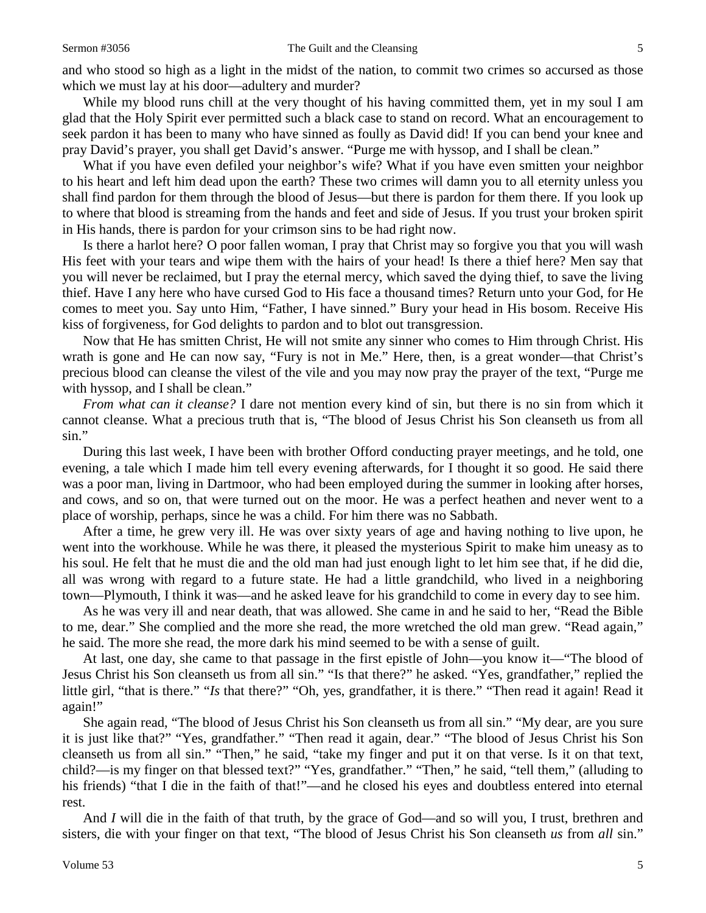While my blood runs chill at the very thought of his having committed them, yet in my soul I am glad that the Holy Spirit ever permitted such a black case to stand on record. What an encouragement to seek pardon it has been to many who have sinned as foully as David did! If you can bend your knee and pray David's prayer, you shall get David's answer. "Purge me with hyssop, and I shall be clean."

What if you have even defiled your neighbor's wife? What if you have even smitten your neighbor to his heart and left him dead upon the earth? These two crimes will damn you to all eternity unless you shall find pardon for them through the blood of Jesus—but there is pardon for them there. If you look up to where that blood is streaming from the hands and feet and side of Jesus. If you trust your broken spirit in His hands, there is pardon for your crimson sins to be had right now.

Is there a harlot here? O poor fallen woman, I pray that Christ may so forgive you that you will wash His feet with your tears and wipe them with the hairs of your head! Is there a thief here? Men say that you will never be reclaimed, but I pray the eternal mercy, which saved the dying thief, to save the living thief. Have I any here who have cursed God to His face a thousand times? Return unto your God, for He comes to meet you. Say unto Him, "Father, I have sinned." Bury your head in His bosom. Receive His kiss of forgiveness, for God delights to pardon and to blot out transgression.

Now that He has smitten Christ, He will not smite any sinner who comes to Him through Christ. His wrath is gone and He can now say, "Fury is not in Me." Here, then, is a great wonder—that Christ's precious blood can cleanse the vilest of the vile and you may now pray the prayer of the text, "Purge me with hyssop, and I shall be clean."

*From what can it cleanse?* I dare not mention every kind of sin, but there is no sin from which it cannot cleanse. What a precious truth that is, "The blood of Jesus Christ his Son cleanseth us from all sin."

During this last week, I have been with brother Offord conducting prayer meetings, and he told, one evening, a tale which I made him tell every evening afterwards, for I thought it so good. He said there was a poor man, living in Dartmoor, who had been employed during the summer in looking after horses, and cows, and so on, that were turned out on the moor. He was a perfect heathen and never went to a place of worship, perhaps, since he was a child. For him there was no Sabbath.

After a time, he grew very ill. He was over sixty years of age and having nothing to live upon, he went into the workhouse. While he was there, it pleased the mysterious Spirit to make him uneasy as to his soul. He felt that he must die and the old man had just enough light to let him see that, if he did die, all was wrong with regard to a future state. He had a little grandchild, who lived in a neighboring town—Plymouth, I think it was—and he asked leave for his grandchild to come in every day to see him.

As he was very ill and near death, that was allowed. She came in and he said to her, "Read the Bible to me, dear." She complied and the more she read, the more wretched the old man grew. "Read again," he said. The more she read, the more dark his mind seemed to be with a sense of guilt.

At last, one day, she came to that passage in the first epistle of John—you know it—"The blood of Jesus Christ his Son cleanseth us from all sin." "Is that there?" he asked. "Yes, grandfather," replied the little girl, "that is there." "*Is* that there?" "Oh, yes, grandfather, it is there." "Then read it again! Read it again!"

She again read, "The blood of Jesus Christ his Son cleanseth us from all sin." "My dear, are you sure it is just like that?" "Yes, grandfather." "Then read it again, dear." "The blood of Jesus Christ his Son cleanseth us from all sin." "Then," he said, "take my finger and put it on that verse. Is it on that text, child?—is my finger on that blessed text?" "Yes, grandfather." "Then," he said, "tell them," (alluding to his friends) "that I die in the faith of that!"—and he closed his eyes and doubtless entered into eternal rest.

And *I* will die in the faith of that truth, by the grace of God—and so will you, I trust, brethren and sisters, die with your finger on that text, "The blood of Jesus Christ his Son cleanseth *us* from *all* sin."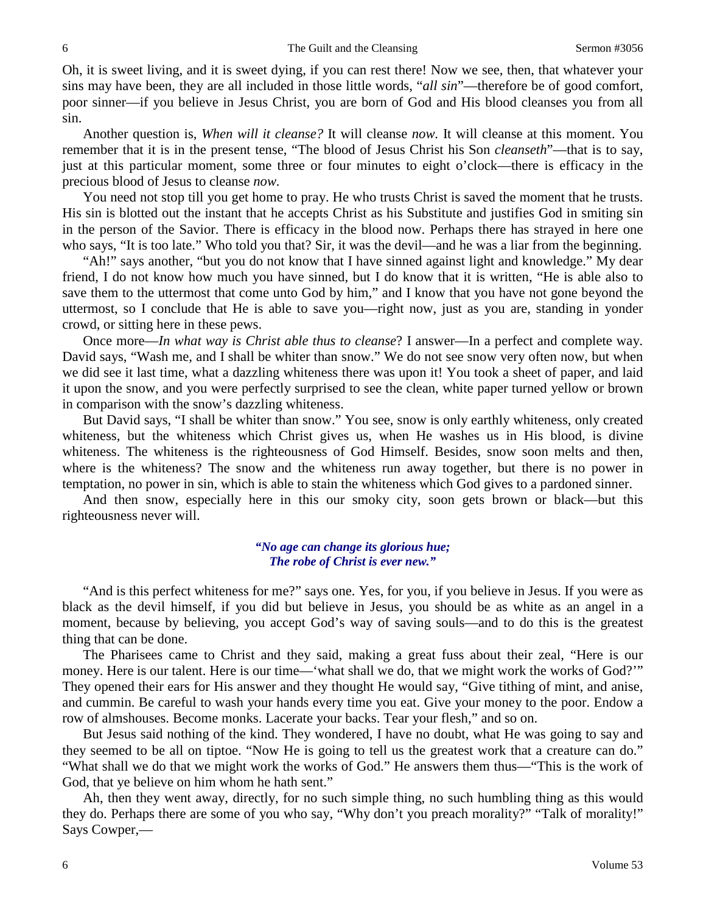Oh, it is sweet living, and it is sweet dying, if you can rest there! Now we see, then, that whatever your sins may have been, they are all included in those little words, "*all sin*"—therefore be of good comfort, poor sinner—if you believe in Jesus Christ, you are born of God and His blood cleanses you from all sin.

Another question is, *When will it cleanse?* It will cleanse *now.* It will cleanse at this moment. You remember that it is in the present tense, "The blood of Jesus Christ his Son *cleanseth*"—that is to say, just at this particular moment, some three or four minutes to eight o'clock—there is efficacy in the precious blood of Jesus to cleanse *now.* 

You need not stop till you get home to pray. He who trusts Christ is saved the moment that he trusts. His sin is blotted out the instant that he accepts Christ as his Substitute and justifies God in smiting sin in the person of the Savior. There is efficacy in the blood now. Perhaps there has strayed in here one who says, "It is too late." Who told you that? Sir, it was the devil—and he was a liar from the beginning.

"Ah!" says another, "but you do not know that I have sinned against light and knowledge." My dear friend, I do not know how much you have sinned, but I do know that it is written, "He is able also to save them to the uttermost that come unto God by him," and I know that you have not gone beyond the uttermost, so I conclude that He is able to save you—right now, just as you are, standing in yonder crowd, or sitting here in these pews.

Once more—*In what way is Christ able thus to cleanse*? I answer—In a perfect and complete way. David says, "Wash me, and I shall be whiter than snow." We do not see snow very often now, but when we did see it last time, what a dazzling whiteness there was upon it! You took a sheet of paper, and laid it upon the snow, and you were perfectly surprised to see the clean, white paper turned yellow or brown in comparison with the snow's dazzling whiteness.

But David says, "I shall be whiter than snow." You see, snow is only earthly whiteness, only created whiteness, but the whiteness which Christ gives us, when He washes us in His blood, is divine whiteness. The whiteness is the righteousness of God Himself. Besides, snow soon melts and then, where is the whiteness? The snow and the whiteness run away together, but there is no power in temptation, no power in sin, which is able to stain the whiteness which God gives to a pardoned sinner.

And then snow, especially here in this our smoky city, soon gets brown or black—but this righteousness never will.

#### *"No age can change its glorious hue; The robe of Christ is ever new."*

"And is this perfect whiteness for me?" says one. Yes, for you, if you believe in Jesus. If you were as black as the devil himself, if you did but believe in Jesus, you should be as white as an angel in a moment, because by believing, you accept God's way of saving souls—and to do this is the greatest thing that can be done.

The Pharisees came to Christ and they said, making a great fuss about their zeal, "Here is our money. Here is our talent. Here is our time—'what shall we do, that we might work the works of God?'" They opened their ears for His answer and they thought He would say, "Give tithing of mint, and anise, and cummin. Be careful to wash your hands every time you eat. Give your money to the poor. Endow a row of almshouses. Become monks. Lacerate your backs. Tear your flesh," and so on.

But Jesus said nothing of the kind. They wondered, I have no doubt, what He was going to say and they seemed to be all on tiptoe. "Now He is going to tell us the greatest work that a creature can do." "What shall we do that we might work the works of God." He answers them thus—"This is the work of God, that ye believe on him whom he hath sent."

Ah, then they went away, directly, for no such simple thing, no such humbling thing as this would they do. Perhaps there are some of you who say, "Why don't you preach morality?" "Talk of morality!" Says Cowper,—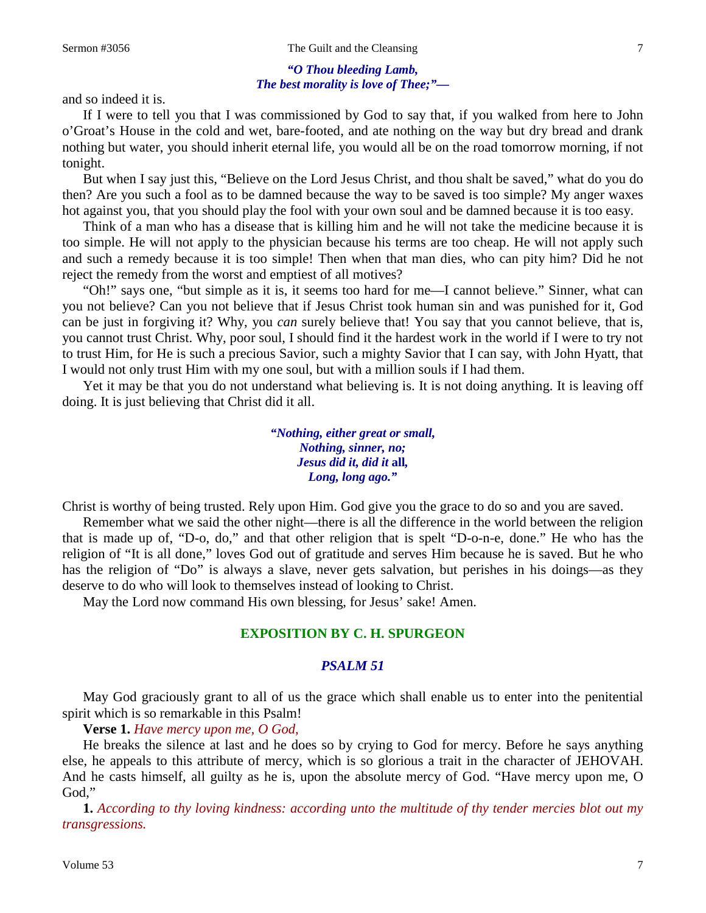#### *"O Thou bleeding Lamb, The best morality is love of Thee;"—*

and so indeed it is.

If I were to tell you that I was commissioned by God to say that, if you walked from here to John o'Groat's House in the cold and wet, bare-footed, and ate nothing on the way but dry bread and drank nothing but water, you should inherit eternal life, you would all be on the road tomorrow morning, if not tonight.

But when I say just this, "Believe on the Lord Jesus Christ, and thou shalt be saved," what do you do then? Are you such a fool as to be damned because the way to be saved is too simple? My anger waxes hot against you, that you should play the fool with your own soul and be damned because it is too easy.

Think of a man who has a disease that is killing him and he will not take the medicine because it is too simple. He will not apply to the physician because his terms are too cheap. He will not apply such and such a remedy because it is too simple! Then when that man dies, who can pity him? Did he not reject the remedy from the worst and emptiest of all motives?

"Oh!" says one, "but simple as it is, it seems too hard for me—I cannot believe." Sinner, what can you not believe? Can you not believe that if Jesus Christ took human sin and was punished for it, God can be just in forgiving it? Why, you *can* surely believe that! You say that you cannot believe, that is, you cannot trust Christ. Why, poor soul, I should find it the hardest work in the world if I were to try not to trust Him, for He is such a precious Savior, such a mighty Savior that I can say, with John Hyatt, that I would not only trust Him with my one soul, but with a million souls if I had them.

Yet it may be that you do not understand what believing is. It is not doing anything. It is leaving off doing. It is just believing that Christ did it all.

> *"Nothing, either great or small, Nothing, sinner, no; Jesus did it, did it* **all***, Long, long ago."*

Christ is worthy of being trusted. Rely upon Him. God give you the grace to do so and you are saved.

Remember what we said the other night—there is all the difference in the world between the religion that is made up of, "D-o, do," and that other religion that is spelt "D-o-n-e, done." He who has the religion of "It is all done," loves God out of gratitude and serves Him because he is saved. But he who has the religion of "Do" is always a slave, never gets salvation, but perishes in his doings—as they deserve to do who will look to themselves instead of looking to Christ.

May the Lord now command His own blessing, for Jesus' sake! Amen.

#### **EXPOSITION BY C. H. SPURGEON**

### *PSALM 51*

May God graciously grant to all of us the grace which shall enable us to enter into the penitential spirit which is so remarkable in this Psalm!

## **Verse 1.** *Have mercy upon me, O God,*

He breaks the silence at last and he does so by crying to God for mercy. Before he says anything else, he appeals to this attribute of mercy, which is so glorious a trait in the character of JEHOVAH. And he casts himself, all guilty as he is, upon the absolute mercy of God. "Have mercy upon me, O God,"

**1.** *According to thy loving kindness: according unto the multitude of thy tender mercies blot out my transgressions.*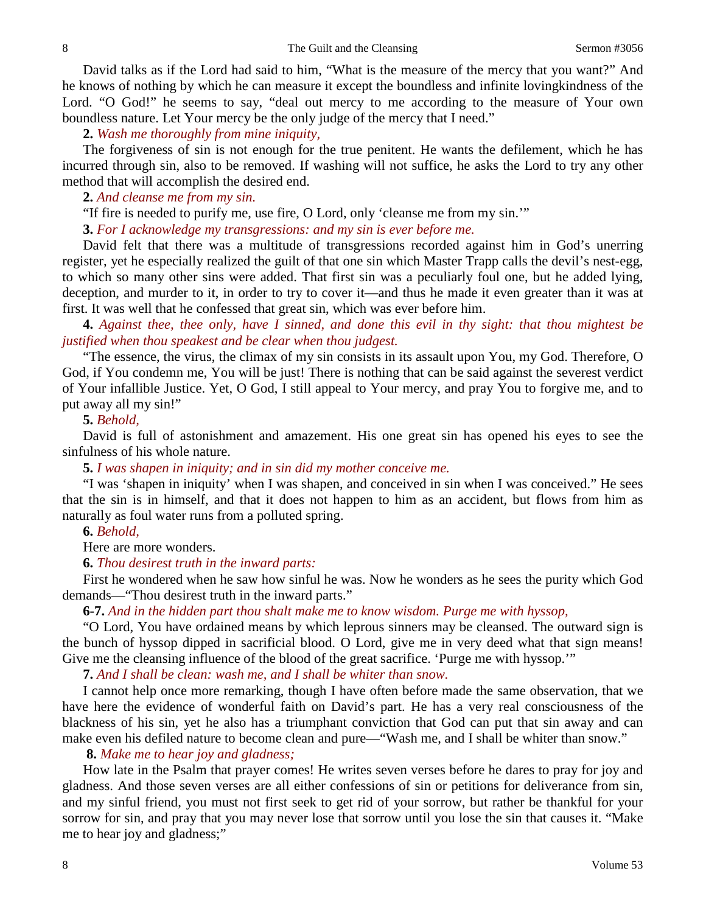David talks as if the Lord had said to him, "What is the measure of the mercy that you want?" And he knows of nothing by which he can measure it except the boundless and infinite lovingkindness of the Lord. "O God!" he seems to say, "deal out mercy to me according to the measure of Your own boundless nature. Let Your mercy be the only judge of the mercy that I need."

**2.** *Wash me thoroughly from mine iniquity,*

The forgiveness of sin is not enough for the true penitent. He wants the defilement, which he has incurred through sin, also to be removed. If washing will not suffice, he asks the Lord to try any other method that will accomplish the desired end.

**2.** *And cleanse me from my sin.*

"If fire is needed to purify me, use fire, O Lord, only 'cleanse me from my sin.'"

**3.** *For I acknowledge my transgressions: and my sin is ever before me.*

David felt that there was a multitude of transgressions recorded against him in God's unerring register, yet he especially realized the guilt of that one sin which Master Trapp calls the devil's nest-egg, to which so many other sins were added. That first sin was a peculiarly foul one, but he added lying, deception, and murder to it, in order to try to cover it—and thus he made it even greater than it was at first. It was well that he confessed that great sin, which was ever before him.

**4.** *Against thee, thee only, have I sinned, and done this evil in thy sight: that thou mightest be justified when thou speakest and be clear when thou judgest.*

"The essence, the virus, the climax of my sin consists in its assault upon You, my God. Therefore, O God, if You condemn me, You will be just! There is nothing that can be said against the severest verdict of Your infallible Justice. Yet, O God, I still appeal to Your mercy, and pray You to forgive me, and to put away all my sin!"

**5.** *Behold,*

David is full of astonishment and amazement. His one great sin has opened his eyes to see the sinfulness of his whole nature.

**5.** *I was shapen in iniquity; and in sin did my mother conceive me.*

"I was 'shapen in iniquity' when I was shapen, and conceived in sin when I was conceived." He sees that the sin is in himself, and that it does not happen to him as an accident, but flows from him as naturally as foul water runs from a polluted spring.

# **6.** *Behold,*

Here are more wonders.

**6.** *Thou desirest truth in the inward parts:*

First he wondered when he saw how sinful he was. Now he wonders as he sees the purity which God demands—"Thou desirest truth in the inward parts."

**6-7.** *And in the hidden part thou shalt make me to know wisdom. Purge me with hyssop,*

"O Lord, You have ordained means by which leprous sinners may be cleansed. The outward sign is the bunch of hyssop dipped in sacrificial blood. O Lord, give me in very deed what that sign means! Give me the cleansing influence of the blood of the great sacrifice. 'Purge me with hyssop.'"

**7.** *And I shall be clean: wash me, and I shall be whiter than snow.*

I cannot help once more remarking, though I have often before made the same observation, that we have here the evidence of wonderful faith on David's part. He has a very real consciousness of the blackness of his sin, yet he also has a triumphant conviction that God can put that sin away and can make even his defiled nature to become clean and pure—"Wash me, and I shall be whiter than snow."

# **8.** *Make me to hear joy and gladness;*

How late in the Psalm that prayer comes! He writes seven verses before he dares to pray for joy and gladness. And those seven verses are all either confessions of sin or petitions for deliverance from sin, and my sinful friend, you must not first seek to get rid of your sorrow, but rather be thankful for your sorrow for sin, and pray that you may never lose that sorrow until you lose the sin that causes it. "Make me to hear joy and gladness;"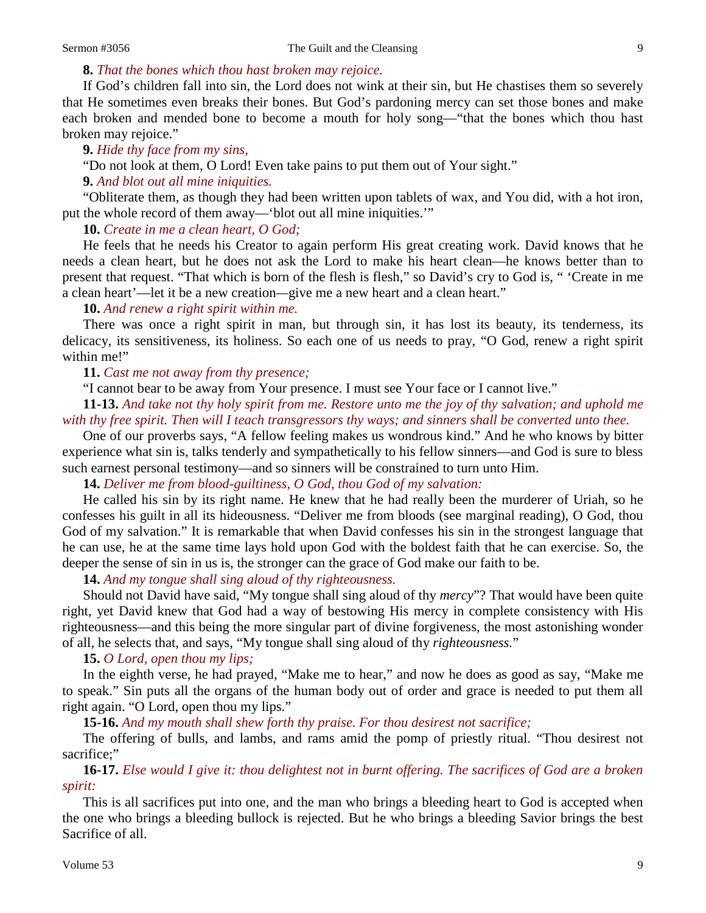#### **8.** *That the bones which thou hast broken may rejoice.*

If God's children fall into sin, the Lord does not wink at their sin, but He chastises them so severely that He sometimes even breaks their bones. But God's pardoning mercy can set those bones and make each broken and mended bone to become a mouth for holy song—"that the bones which thou hast broken may rejoice."

**9.** *Hide thy face from my sins,*

"Do not look at them, O Lord! Even take pains to put them out of Your sight."

#### **9.** *And blot out all mine iniquities.*

"Obliterate them, as though they had been written upon tablets of wax, and You did, with a hot iron, put the whole record of them away—'blot out all mine iniquities.'"

**10.** *Create in me a clean heart, O God;*

He feels that he needs his Creator to again perform His great creating work. David knows that he needs a clean heart, but he does not ask the Lord to make his heart clean—he knows better than to present that request. "That which is born of the flesh is flesh," so David's cry to God is, " 'Create in me a clean heart'—let it be a new creation*—*give me a new heart and a clean heart."

**10.** *And renew a right spirit within me.*

There was once a right spirit in man, but through sin, it has lost its beauty, its tenderness, its delicacy, its sensitiveness, its holiness. So each one of us needs to pray, "O God, renew a right spirit within me!"

**11.** *Cast me not away from thy presence;*

"I cannot bear to be away from Your presence. I must see Your face or I cannot live."

**11-13.** *And take not thy holy spirit from me. Restore unto me the joy of thy salvation; and uphold me with thy free spirit. Then will I teach transgressors thy ways; and sinners shall be converted unto thee.*

One of our proverbs says, "A fellow feeling makes us wondrous kind." And he who knows by bitter experience what sin is, talks tenderly and sympathetically to his fellow sinners—and God is sure to bless such earnest personal testimony—and so sinners will be constrained to turn unto Him.

**14.** *Deliver me from blood-guiltiness, O God, thou God of my salvation:*

He called his sin by its right name. He knew that he had really been the murderer of Uriah, so he confesses his guilt in all its hideousness. "Deliver me from bloods (see marginal reading), O God, thou God of my salvation." It is remarkable that when David confesses his sin in the strongest language that he can use, he at the same time lays hold upon God with the boldest faith that he can exercise. So, the deeper the sense of sin in us is, the stronger can the grace of God make our faith to be.

**14.** *And my tongue shall sing aloud of thy righteousness.*

Should not David have said, "My tongue shall sing aloud of thy *mercy*"? That would have been quite right, yet David knew that God had a way of bestowing His mercy in complete consistency with His righteousness—and this being the more singular part of divine forgiveness, the most astonishing wonder of all, he selects that, and says, "My tongue shall sing aloud of thy *righteousness.*"

#### **15.** *O Lord, open thou my lips;*

In the eighth verse, he had prayed, "Make me to hear," and now he does as good as say, "Make me to speak." Sin puts all the organs of the human body out of order and grace is needed to put them all right again. "O Lord, open thou my lips."

**15-16.** *And my mouth shall shew forth thy praise. For thou desirest not sacrifice;*

The offering of bulls, and lambs, and rams amid the pomp of priestly ritual. "Thou desirest not sacrifice;"

**16-17.** *Else would I give it: thou delightest not in burnt offering. The sacrifices of God are a broken spirit:*

This is all sacrifices put into one, and the man who brings a bleeding heart to God is accepted when the one who brings a bleeding bullock is rejected. But he who brings a bleeding Savior brings the best Sacrifice of all.